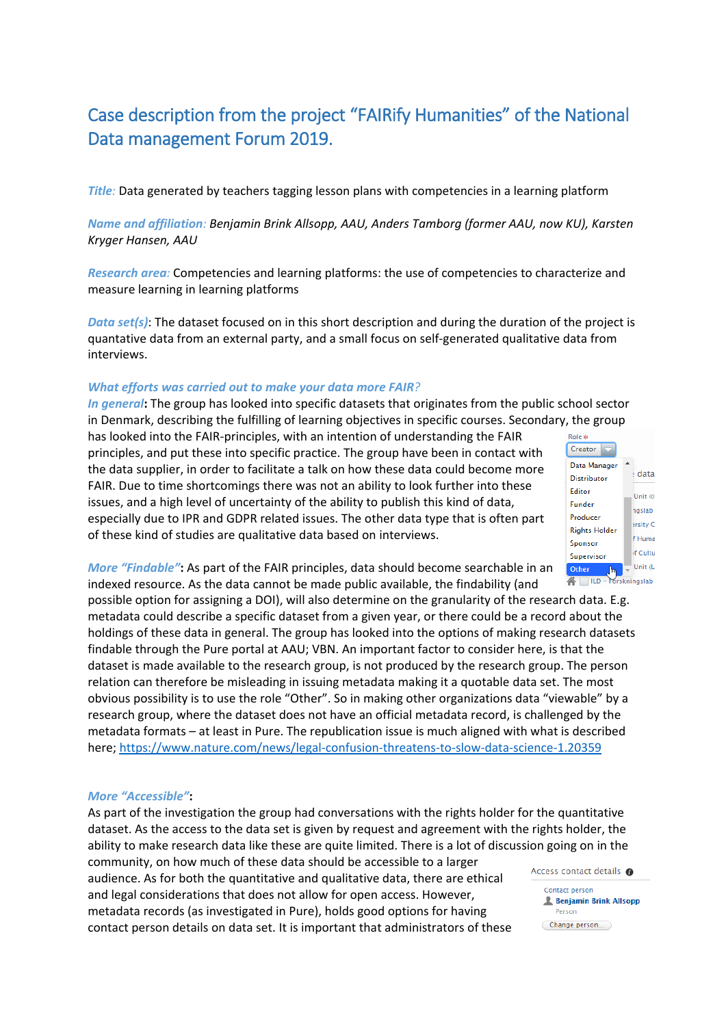# Case description from the project "FAIRify Humanities" of the National Data management Forum 2019.

*Title:* Data generated by teachers tagging lesson plans with competencies in a learning platform

## *Name and affiliation: Benjamin Brink Allsopp, AAU, Anders Tamborg (former AAU, now KU), Karsten Kryger Hansen, AAU*

*Research area:* Competencies and learning platforms: the use of competencies to characterize and measure learning in learning platforms

*Data set(s)*: The dataset focused on in this short description and during the duration of the project is quantative data from an external party, and a small focus on self-generated qualitative data from interviews.

#### *What efforts was carried out to make your data more FAIR?*

*In general***:** The group has looked into specific datasets that originates from the public school sector in Denmark, describing the fulfilling of learning objectives in specific courses. Secondary, the group has looked into the FAIR-principles, with an intention of understanding the FAIR principles, and put these into specific practice. The group have been in contact with the data supplier, in order to facilitate a talk on how these data could become more FAIR. Due to time shortcomings there was not an ability to look further into these issues, and a high level of uncertainty of the ability to publish this kind of data, especially due to IPR and GDPR related issues. The other data type that is often part of these kind of studies are qualitative data based on interviews.



*More "Findable"***:** As part of the FAIR principles, data should become searchable in an indexed resource. As the data cannot be made public available, the findability (and

possible option for assigning a DOI), will also determine on the granularity of the research data. E.g. metadata could describe a specific dataset from a given year, or there could be a record about the holdings of these data in general. The group has looked into the options of making research datasets findable through the Pure portal at AAU; VBN. An important factor to consider here, is that the dataset is made available to the research group, is not produced by the research group. The person relation can therefore be misleading in issuing metadata making it a quotable data set. The most obvious possibility is to use the role "Other". So in making other organizations data "viewable" by a research group, where the dataset does not have an official metadata record, is challenged by the metadata formats – at least in Pure. The republication issue is much aligned with what is described here;<https://www.nature.com/news/legal-confusion-threatens-to-slow-data-science-1.20359>

#### *More "Accessible"***:**

As part of the investigation the group had conversations with the rights holder for the quantitative dataset. As the access to the data set is given by request and agreement with the rights holder, the ability to make research data like these are quite limited. There is a lot of discussion going on in the community, on how much of these data should be accessible to a larger Access contact details @ audience. As for both the quantitative and qualitative data, there are ethical Contact person and legal considerations that does not allow for open access. However, **A** Benjamin Brink Allsopp metadata records (as investigated in Pure), holds good options for having Person Change person... contact person details on data set. It is important that administrators of these